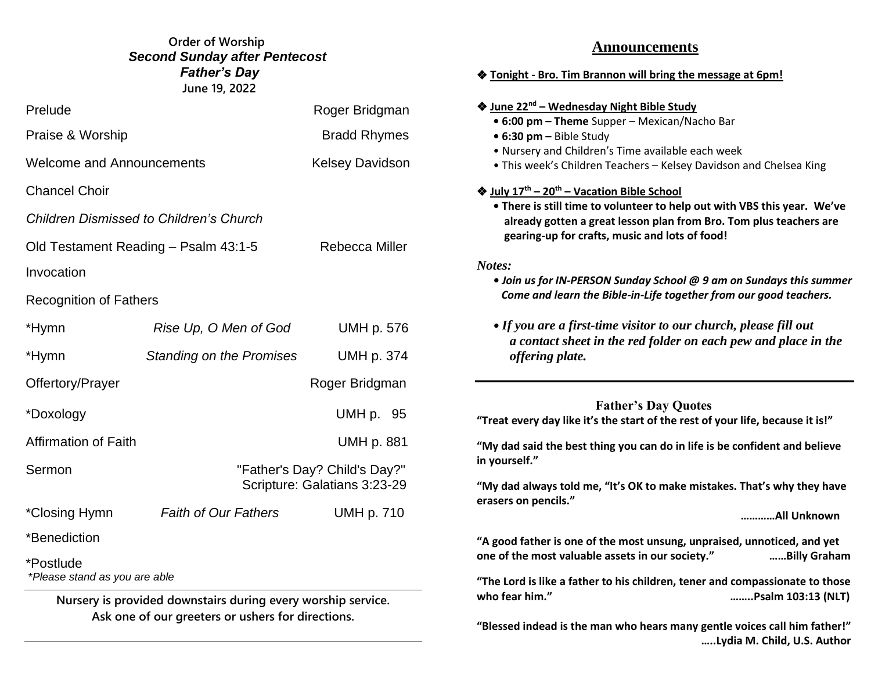# Bobby dfswfrere **June 19, 2022 Order of Worship**  *Second Sunday after Pentecost Father's Day*

| Prelude                                    | Roger Bridgman                                               |                        |
|--------------------------------------------|--------------------------------------------------------------|------------------------|
| Praise & Worship                           | <b>Bradd Rhymes</b>                                          |                        |
| <b>Welcome and Announcements</b>           |                                                              | <b>Kelsey Davidson</b> |
| <b>Chancel Choir</b>                       |                                                              |                        |
|                                            | <b>Children Dismissed to Children's Church</b>               |                        |
| Old Testament Reading - Psalm 43:1-5       | Rebecca Miller                                               |                        |
| Invocation                                 |                                                              |                        |
| <b>Recognition of Fathers</b>              |                                                              |                        |
| *Hymn                                      | Rise Up, O Men of God                                        | UMH p. 576             |
| *Hymn                                      | <b>Standing on the Promises</b>                              | <b>UMH p. 374</b>      |
| Offertory/Prayer                           |                                                              | Roger Bridgman         |
| *Doxology                                  |                                                              | UMH p. 95              |
| <b>Affirmation of Faith</b>                |                                                              | <b>UMH p. 881</b>      |
| Sermon                                     | "Father's Day? Child's Day?"<br>Scripture: Galatians 3:23-29 |                        |
| *Closing Hymn                              | <b>Faith of Our Fathers</b>                                  | <b>UMH p. 710</b>      |
| *Benediction                               |                                                              |                        |
| *Postlude<br>*Please stand as you are able |                                                              |                        |
|                                            | Nursery is provided downstairs during every worship service. |                        |

**Ask one of our greeters or ushers for directions.**

# **Announcements**

### ❖ **Tonight - Bro. Tim Brannon will bring the message at 6pm!**

### ❖ **June 22nd – Wednesday Night Bible Study**

- **6:00 pm – Theme** Supper Mexican/Nacho Bar
- **6:30 pm –** Bible Study
- Nursery and Children's Time available each week
- This week's Children Teachers Kelsey Davidson and Chelsea King

## ❖ **July 17th – 20th – Vacation Bible School**

 **• There is still time to volunteer to help out with VBS this year. We've already gotten a great lesson plan from Bro. Tom plus teachers are gearing-up for crafts, music and lots of food!**

### *Notes:*

- *Join us for IN-PERSON Sunday School @ 9 am on Sundays this summer Come and learn the Bible-in-Life together from our good teachers.*
- *If you are a first-time visitor to our church, please fill out a contact sheet in the red folder on each pew and place in the offering plate.*

 **Father's Day Quotes "Treat every day like it's the start of the rest of your life, because it is!"**

**"My dad said the best thing you can do in life is be confident and believe in yourself."**

**"My dad always told me, "It's OK to make mistakes. That's why they have erasers on pencils."**

**…………All Unknown**

**"A good father is one of the most unsung, unpraised, unnoticed, and yet one of the most valuable assets in our society." ……Billy Graham**

**"The Lord is like a father to his children, tener and compassionate to those who fear him." ……..Psalm 103:13 (NLT)**

**"Blessed indead is the man who hears many gentle voices call him father!" …..Lydia M. Child, U.S. Author**